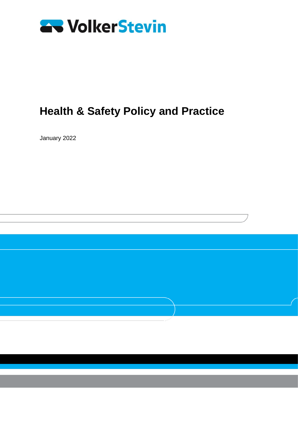

January 2022

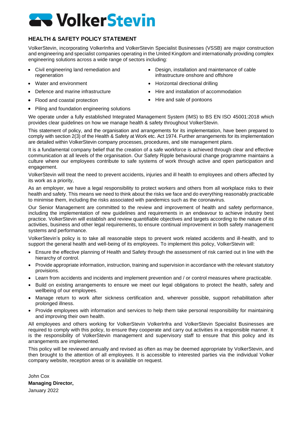# **AV** VolkerStevin

# **HEALTH & SAFETY POLICY STATEMENT**

VolkerStevin, incorporating VolkerInfra and VolkerStevin Specialist Businesses (VSSB) are major construction and engineering and specialist companies operating in the United Kingdom and internationally providing complex engineering solutions across a wide range of sectors including:

- Civil engineering land remediation and regeneration
- Water and environment  **Horizontal directional drilling**
- 
- Flood and coastal protection Hire and sale of pontoons
- Design, installation and maintenance of cable infrastructure onshore and offshore
- 
- **Defence and marine infrastructure Commodation** Hire and installation of accommodation
	-
- Piling and foundation engineering solutions

We operate under a fully established Integrated Management System (IMS) to BS EN ISO 45001:2018 which provides clear guidelines on how we manage health & safety throughout VolkerStevin.

This statement of policy, and the organisation and arrangements for its implementation, have been prepared to comply with section 2(3) of the Health & Safety at Work etc. Act 1974. Further arrangements for its implementation are detailed within VolkerStevin company processes, procedures, and site management plans.

It is a fundamental company belief that the creation of a safe workforce is achieved through clear and effective communication at all levels of the organisation. Our Safety Ripple behavioural change programme maintains a culture where our employees contribute to safe systems of work through active and open participation and engagement.

VolkerStevin will treat the need to prevent accidents, injuries and ill health to employees and others affected by its work as a priority,

As an employer, we have a legal responsibility to protect workers and others from all workplace risks to their health and safety. This means we need to think about the risks we face and do everything reasonably practicable to minimise them, including the risks associated with pandemics such as the coronavirus.

Our Senior Management are committed to the review and improvement of health and safety performance, including the implementation of new guidelines and requirements in an endeavour to achieve industry best practice. VolkerStevin will establish and review quantifiable objectives and targets according to the nature of its activities, business and other legal requirements, to ensure continual improvement in both safety management systems and performance.

VolkerStevin's policy is to take all reasonable steps to prevent work related accidents and ill-health, and to support the general health and well-being of its employees. To implement this policy, VolkerStevin will:

- Ensure the effective planning of Health and Safety through the assessment of risk carried out in line with the hierarchy of control.
- Provide appropriate information, instruction, training and supervision in accordance with the relevant statutory provisions.
- Learn from accidents and incidents and implement prevention and / or control measures where practicable.
- Build on existing arrangements to ensure we meet our legal obligations to protect the health, safety and wellbeing of our employees.
- Manage return to work after sickness certification and, wherever possible, support rehabilitation after prolonged illness.
- Provide employees with information and services to help them take personal responsibility for maintaining and improving their own health.

All employees and others working for VolkerStevin VolkerInfra and VolkerStevin Specialist Businesses are required to comply with this policy, to ensure they cooperate and carry out activities in a responsible manner. It is the responsibility of VolkerStevin management and supervisory staff to ensure that this policy and its arrangements are implemented.

This policy will be reviewed annually and revised as often as may be deemed appropriate by VolkerStevin, and then brought to the attention of all employees. It is accessible to interested parties via the individual Volker company website, reception areas or is available on request.

John Cox **Managing Director,** January 2022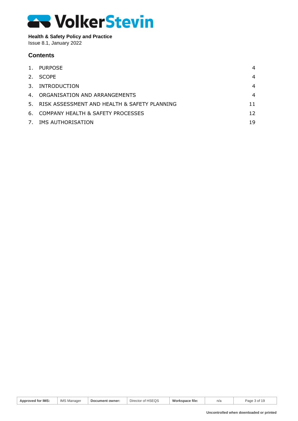# **AV VolkerStevin**

# **Health & Safety Policy and Practice**

Issue 8.1, January 2022

# **Contents**

|    | 1. PURPOSE                                      |    |
|----|-------------------------------------------------|----|
|    | 2. SCOPE                                        | 4  |
|    | 3. INTRODUCTION                                 | 4  |
|    | 4. ORGANISATION AND ARRANGEMENTS                | 4  |
|    | 5. RISK ASSESSMENT AND HEALTH & SAFETY PLANNING | 11 |
|    | 6. COMPANY HEALTH & SAFETY PROCESSES            | 12 |
| 7. | IMS AUTHORISATION                               | 19 |

| <b>IMS M</b><br>Approved for IMS:<br>Manager | Document owner: | Director of HSEQS | Workspace file: | n/a | Page 3 of 19 |
|----------------------------------------------|-----------------|-------------------|-----------------|-----|--------------|
|----------------------------------------------|-----------------|-------------------|-----------------|-----|--------------|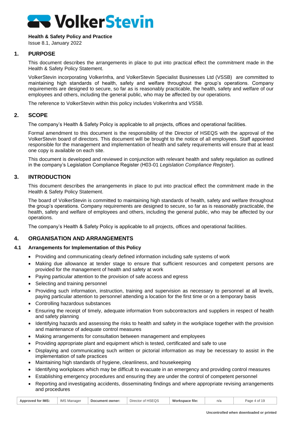

<span id="page-3-0"></span>Issue 8.1, January 2022

# **1. PURPOSE**

This document describes the arrangements in place to put into practical effect the commitment made in the Health & Safety Policy Statement.

VolkerStevin incorporating VolkerInfra, and VolkerStevin Specialist Businesses Ltd (VSSB) are committed to maintaining high standards of health, safety and welfare throughout the group's operations. Company requirements are designed to secure, so far as is reasonably practicable, the health, safety and welfare of our employees and others, including the general public, who may be affected by our operations.

<span id="page-3-1"></span>The reference to VolkerStevin within this policy includes VolkerInfra and VSSB.

# **2. SCOPE**

The company's Health & Safety Policy is applicable to all projects, offices and operational facilities.

Formal amendment to this document is the responsibility of the Director of HSEQS with the approval of the VolkerStevin board of directors. This document will be brought to the notice of all employees. Staff appointed responsible for the management and implementation of health and safety requirements will ensure that at least one copy is available on each site.

This document is developed and reviewed in conjunction with relevant health and safety regulation as outlined in the company's Legislation Compliance Register (H03-01 *Legislation Compliance Register*).

# **3. INTRODUCTION**

<span id="page-3-2"></span>This document describes the arrangements in place to put into practical effect the commitment made in the Health & Safety Policy Statement.

The board of VolkerStevin is committed to maintaining high standards of health, safety and welfare throughout the group's operations. Company requirements are designed to secure, so far as is reasonably practicable, the health, safety and welfare of employees and others, including the general public, who may be affected by our operations.

<span id="page-3-3"></span>The company's Health & Safety Policy is applicable to all projects, offices and operational facilities.

# **4. ORGANISATION AND ARRANGEMENTS**

# **4.1 Arrangements for Implementation of this Policy**

- Providing and communicating clearly defined information including safe systems of work
- Making due allowance at tender stage to ensure that sufficient resources and competent persons are provided for the management of health and safety at work
- Paying particular attention to the provision of safe access and egress
- Selecting and training personnel
- Providing such information, instruction, training and supervision as necessary to personnel at all levels, paying particular attention to personnel attending a location for the first time or on a temporary basis
- Controlling hazardous substances
- Ensuring the receipt of timely, adequate information from subcontractors and suppliers in respect of health and safety planning
- Identifying hazards and assessing the risks to health and safety in the workplace together with the provision and maintenance of adequate control measures
- Making arrangements for consultation between management and employees
- Providing appropriate plant and equipment which is tested, certificated and safe to use
- Displaying and communicating such written or pictorial information as may be necessary to assist in the implementation of safe practices
- Maintaining high standards of hygiene, cleanliness, and housekeeping
- Identifying workplaces which may be difficult to evacuate in an emergency and providing control measures
- Establishing emergency procedures and ensuring they are under the control of competent personnel
- Reporting and investigating accidents, disseminating findings and where appropriate revising arrangements and procedures

| Approved for IMS: | IMS.<br>Manage <sup>r</sup> | Document owner: | Director of HSEQS | Workspace file: | $n/\varepsilon$ | $-10$<br>Page<br>$\overline{ }$<br>u |
|-------------------|-----------------------------|-----------------|-------------------|-----------------|-----------------|--------------------------------------|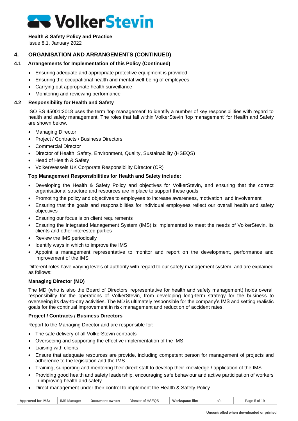# **Health & Safety Policy and Practice**

Issue 8.1, January 2022

# **4. ORGANISATION AND ARRANGEMENTS (CONTINUED)**

# **4.1 Arrangements for Implementation of this Policy (Continued)**

- Ensuring adequate and appropriate protective equipment is provided
- Ensuring the occupational health and mental well-being of employees
- Carrying out appropriate health surveillance
- Monitoring and reviewing performance

# **4.2 Responsibility for Health and Safety**

ISO BS 45001:2018 uses the term 'top management' to identify a number of key responsibilities with regard to health and safety management. The roles that fall within VolkerStevin 'top management' for Health and Safety are shown below.

- Managing Director
- Project / Contracts / Business Directors
- Commercial Director
- Director of Health, Safety, Environment, Quality, Sustainability (HSEQS)
- Head of Health & Safety
- VolkerWessels UK Corporate Responsibility Director (CR)

# **Top Management Responsibilities for Health and Safety include:**

- Developing the Health & Safety Policy and objectives for VolkerStevin, and ensuring that the correct organisational structure and resources are in place to support these goals
- Promoting the policy and objectives to employees to increase awareness, motivation, and involvement
- Ensuring that the goals and responsibilities for individual employees reflect our overall health and safety objectives
- Ensuring our focus is on client requirements
- Ensuring the Integrated Management System (IMS) is implemented to meet the needs of VolkerStevin, its clients and other interested parties
- Review the IMS periodically
- Identify ways in which to improve the IMS
- Appoint a management representative to monitor and report on the development, performance and improvement of the IMS

Different roles have varying levels of authority with regard to our safety management system, and are explained as follows:

# **Managing Director (MD)**

The MD (who is also the Board of Directors' representative for health and safety management) holds overall responsibility for the operations of VolkerStevin, from developing long-term strategy for the business to overseeing its day-to-day activities. The MD is ultimately responsible for the company's IMS and setting realistic goals for the continual improvement in risk management and reduction of accident rates.

# **Project / Contracts / Business Directors**

Report to the Managing Director and are responsible for:

- The safe delivery of all VolkerStevin contracts
- Overseeing and supporting the effective implementation of the IMS
- Liaising with clients
- Ensure that adequate resources are provide, including competent person for management of projects and adherence to the legislation and the IMS
- Training, supporting and mentoring their direct staff to develop their knowledge / application of the IMS
- Providing good health and safety leadership, encouraging safe behaviour and active participation of workers in improving health and safety
- Direct management under their control to implement the Health & Safety Policy

| <b>Approved for IMS:</b> | <b>IMS</b><br>Manager ر | Document owner: | Director of HSEQS | Workspace file: | n/a | Page 5 of 19 |
|--------------------------|-------------------------|-----------------|-------------------|-----------------|-----|--------------|
|--------------------------|-------------------------|-----------------|-------------------|-----------------|-----|--------------|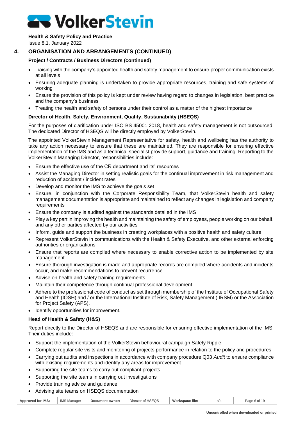#### **Health & Safety Policy and Practice**

Issue 8.1, January 2022

# **4. ORGANISATION AND ARRANGEMENTS (CONTINUED)**

# **Project / Contracts / Business Directors (continued)**

- Liaising with the company's appointed health and safety management to ensure proper communication exists at all levels
- Ensuring adequate planning is undertaken to provide appropriate resources, training and safe systems of working
- Ensure the provision of this policy is kept under review having regard to changes in legislation, best practice and the company's business
- Treating the health and safety of persons under their control as a matter of the highest importance

# **Director of Health, Safety, Environment, Quality, Sustainability (HSEQS)**

For the purposes of clarification under ISO BS 45001:2018, health and safety management is not outsourced. The dedicated Director of HSEQS will be directly employed by VolkerStevin.

The appointed VolkerStevin Management Representative for safety, health and wellbeing has the authority to take any action necessary to ensure that these are maintained. They are responsible for ensuring effective implementation of the IMS and as a technical specialist provide support, guidance and training. Reporting to the VolkerStevin Managing Director, responsibilities include:

- Ensure the effective use of the CR department and its' resources
- Assist the Managing Director in setting realistic goals for the continual improvement in risk management and reduction of accident / incident rates
- Develop and monitor the IMS to achieve the goals set
- Ensure, in conjunction with the Corporate Responsibility Team, that VolkerStevin health and safety management documentation is appropriate and maintained to reflect any changes in legislation and company requirements
- Ensure the company is audited against the standards detailed in the IMS
- Play a key part in improving the health and maintaining the safety of employees, people working on our behalf, and any other parties affected by our activities
- Inform, guide and support the business in creating workplaces with a positive health and safety culture
- Represent VolkerStevin in communications with the Health & Safety Executive, and other external enforcing authorities or organisations
- Ensure that reports are compiled where necessary to enable corrective action to be implemented by site management
- Ensure thorough investigation is made and appropriate records are compiled where accidents and incidents occur, and make recommendations to prevent recurrence
- Advise on health and safety training requirements
- Maintain their competence through continual professional development
- Adhere to the professional code of conduct as set through membership of the Institute of Occupational Safety and Health (IOSH) and / or the International Institute of Risk, Safety Management (IIRSM) or the Association for Project Safety (APS).
- Identify opportunities for improvement.

# **Head of Health & Safety (H&S)**

Report directly to the Director of HSEQS and are responsible for ensuring effective implementation of the IMS. Their duties include:

- Support the implementation of the VolkerStevin behavioural campaign Safety Ripple.
- Complete regular site visits and monitoring of projects performance in relation to the policy and procedures
- Carrying out audits and inspections in accordance with company procedure Q03 *Audit* to ensure compliance with existing requirements and identify any areas for improvement.
- Supporting the site teams to carry out compliant projects
- Supporting the site teams in carrying out investigations
- Provide training advice and guidance
- Advising site teams on HSEQS documentation

| <b>Approved for IMS:</b> | IMS I<br>Manager | Document owner: | Director of HSEQS | Workspace file: | $n/\varepsilon$ | Page 6 of 15 |
|--------------------------|------------------|-----------------|-------------------|-----------------|-----------------|--------------|
|--------------------------|------------------|-----------------|-------------------|-----------------|-----------------|--------------|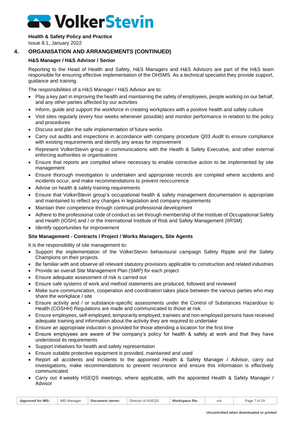# **Health & Safety Policy and Practice**

Issue 8.1, January 2022

# **4. ORGANISATION AND ARRANGEMENTS (CONTINUED)**

# **H&S Manager / H&S Advisor / Senior**

Reporting to the Head of Health and Safety, H&S Managers and H&S Advisors are part of the H&S team responsible for ensuring effective implementation of the OHSMS. As a technical specialist they provide support, guidance and training.

The responsibilities of a H&S Manager / H&S Advisor are to:

- Play a key part in improving the health and maintaining the safety of employees, people working on our behalf, and any other parties affected by our activities
- Inform, guide and support the workforce in creating workplaces with a positive health and safety culture
- Visit sites regularly (every four weeks whenever possible) and monitor performance in relation to the policy and procedures
- Discuss and plan the safe implementation of future works
- Carry out audits and inspections in accordance with company procedure Q03 *Audit* to ensure compliance with existing requirements and identify any areas for improvement
- Represent VolkerStevin group in communications with the Health & Safety Executive, and other external enforcing authorities or organisations
- Ensure that reports are compiled where necessary to enable corrective action to be implemented by site management
- Ensure thorough investigation is undertaken and appropriate records are compiled where accidents and incidents occur, and make recommendations to prevent reoccurrence
- Advise on health & safety training requirements
- Ensure that VolkerStevin group's occupational health & safety management documentation is appropriate and maintained to reflect any changes in legislation and company requirements
- Maintain their competence through continual professional development
- Adhere to the professional code of conduct as set through membership of the Institute of Occupational Safety and Health (IOSH) and / or the International Institute of Risk and Safety Management (IIRSM)
- Identify opportunities for improvement

# **Site Management - Contracts / Project / Works Managers, Site Agents**

It is the responsibility of site management to:

- Support the implementation of the VolkerStevin behavioural campaign Safety Ripple and the Safety Champions on their projects.
- Be familiar with and observe all relevant statutory provisions applicable to construction and related industries
- Provide an overall Site Management Plan (SMP) for each project
- Ensure adequate assessment of risk is carried out
- Ensure safe systems of work and method statements are produced, followed and reviewed
- Make sure communication, cooperation and coordination takes place between the various parties who may share the workplace / site
- Ensure activity and / or substance-specific assessments under the Control of Substances Hazardous to Health (COSHH) Regulations are made and communicated to those at risk
- Ensure employees, self-employed, temporarily employed, trainees and non-employed persons have received adequate training and information about the activity they are required to undertake
- Ensure an appropriate induction is provided for those attending a location for the first time
- Ensure employees are aware of the company's policy for health & safety at work and that they have understood its requirements
- Support initiatives for health and safety representation
- Ensure suitable protective equipment is provided, maintained and used
- Report all accidents and incidents to the appointed Health & Safety Manager / Advisor, carry out investigations, make recommendations to prevent recurrence and ensure this information is effectively communicated
- Carry out 4-weekly HSEQS meetings, where applicable, with the appointed Health & Safety Manager / Advisor

| Approved for IMS: | <b>IMS</b><br>Manager | Document owner: | of HSEQS<br>$\overline{\phantom{0}}$<br>Director | Workspace file: | n/a | Page<br>of 19 |
|-------------------|-----------------------|-----------------|--------------------------------------------------|-----------------|-----|---------------|
|                   |                       |                 |                                                  |                 |     |               |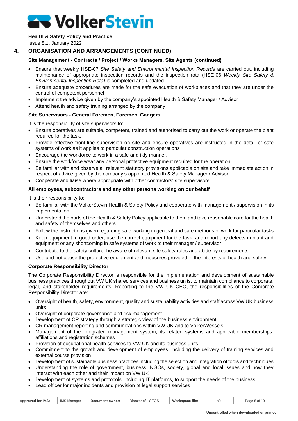# **Health & Safety Policy and Practice**

Issue 8.1, January 2022

# **4. ORGANISATION AND ARRANGEMENTS (CONTINUED)**

# **Site Management - Contracts / Project / Works Managers, Site Agents (continued)**

- Ensure that weekly HSE-07 *Site Safety and Environmental Inspection Records* are carried out, including maintenance of appropriate inspection records and the inspection rota (HSE-06 *Weekly Site Safety & Environmental Inspection Rota)* is completed and updated
- Ensure adequate procedures are made for the safe evacuation of workplaces and that they are under the control of competent personnel
- Implement the advice given by the company's appointed Health & Safety Manager / Advisor
- Attend health and safety training arranged by the company

# **Site Supervisors - General Foremen, Foremen, Gangers**

It is the responsibility of site supervisors to:

- Ensure operatives are suitable, competent, trained and authorised to carry out the work or operate the plant required for the task.
- Provide effective front-line supervision on site and ensure operatives are instructed in the detail of safe systems of work as it applies to particular construction operations
- Encourage the workforce to work in a safe and tidy manner,
- Ensure the workforce wear any personal protective equipment required for the operation.
- Be familiar with and observe all relevant statutory provisions applicable on site and take immediate action in respect of advice given by the company's appointed Health & Safety Manager / Advisor
- Cooperate and liaise where appropriate with other contractors' site supervisors

# **All employees, subcontractors and any other persons working on our behalf**

It is their responsibility to:

- Be familiar with the VolkerStevin Health & Safety Policy and cooperate with management / supervision in its implementation
- Understand the parts of the Health & Safety Policy applicable to them and take reasonable care for the health and safety of themselves and others
- Follow the instructions given regarding safe working in general and safe methods of work for particular tasks
- Keep equipment in good order, use the correct equipment for the task, and report any defects in plant and equipment or any shortcoming in safe systems of work to their manager / supervisor
- Contribute to the safety culture, be aware of relevant site safety rules and abide by requirements
- Use and not abuse the protective equipment and measures provided in the interests of health and safety

# **Corporate Responsibility Director**

The Corporate Responsibility Director is responsible for the implementation and development of sustainable business practices throughout VW UK shared services and business units, to maintain compliance to corporate, legal, and stakeholder requirements. Reporting to the VW UK CEO, the responsibilities of the Corporate Responsibility Director are:

- Oversight of health, safety, environment, quality and sustainability activities and staff across VW UK business units
- Oversight of corporate governance and risk management
- Development of CR strategy through a strategic view of the business environment
- CR management reporting and communications within VW UK and to VolkerWessels
- Management of the integrated management system, its related systems and applicable memberships, affiliations and registration schemes
- Provision of occupational health services to VW UK and its business units
- Commitment to the growth and development of employees, including the delivery of training services and external course provision
- Development of sustainable business practices including the selection and integration of tools and techniques
- Understanding the role of government, business, NGOs, society, global and local issues and how they interact with each other and their impact on VW UK
- Development of systems and protocols, including IT platforms, to support the needs of the business
- Lead officer for major incidents and provision of legal support services

| <b>Approved for IMS:</b> | <b>IMS Manager</b> | Document owner: | --<br>Director of HSEQS | Workspace file: | n/s | Page 8 of |
|--------------------------|--------------------|-----------------|-------------------------|-----------------|-----|-----------|
|--------------------------|--------------------|-----------------|-------------------------|-----------------|-----|-----------|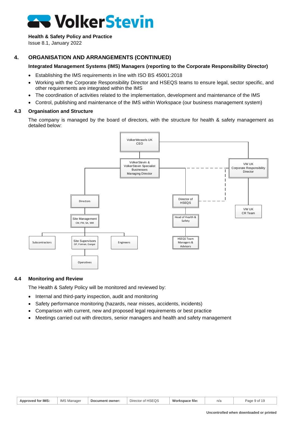# **Health & Safety Policy and Practice**

Issue 8.1, January 2022

# **4. ORGANISATION AND ARRANGEMENTS (CONTINUED)**

# **Integrated Management Systems (IMS) Managers (reporting to the Corporate Responsibility Director)**

- Establishing the IMS requirements in line with ISO BS 45001:2018
- Working with the Corporate Responsibility Director and HSEQS teams to ensure legal, sector specific, and other requirements are integrated within the IMS
- The coordination of activities related to the implementation, development and maintenance of the IMS
- Control, publishing and maintenance of the IMS within Workspace (our business management system)

# **4.3 Organisation and Structure**

The company is managed by the board of directors, with the structure for health & safety management as detailed below:



# **4.4 Monitoring and Review**

The Health & Safety Policy will be monitored and reviewed by:

- Internal and third-party inspection, audit and monitoring
- Safety performance monitoring (hazards, near misses, accidents, incidents)
- Comparison with current, new and proposed legal requirements or best practice
- Meetings carried out with directors, senior managers and health and safety management

| Approved for IMS: | $I^{\Lambda}$<br>Manager<br>IIVIC | Document owner: | Director of HSEQS | Workspace file: | n/a | Page s<br>$\sim$<br>$-11.$<br>ו שי |
|-------------------|-----------------------------------|-----------------|-------------------|-----------------|-----|------------------------------------|
|-------------------|-----------------------------------|-----------------|-------------------|-----------------|-----|------------------------------------|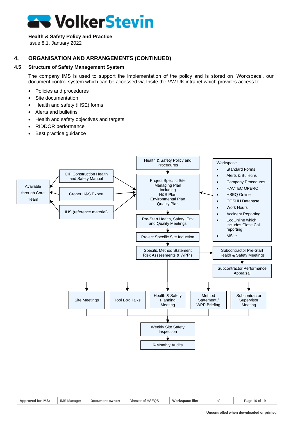# **Sandball VolkerStevin**

#### **Health & Safety Policy and Practice**

Issue 8.1, January 2022

# **4. ORGANISATION AND ARRANGEMENTS (CONTINUED)**

# **4.5 Structure of Safety Management System**

The company IMS is used to support the implementation of the policy and is stored on 'Workspace', our document control system which can be accessed via Insite the VW UK intranet which provides access to:

- Policies and procedures
- Site documentation
- Health and safety (HSE) forms
- Alerts and bulletins
- Health and safety objectives and targets
- RIDDOR performance
- Best practice guidance

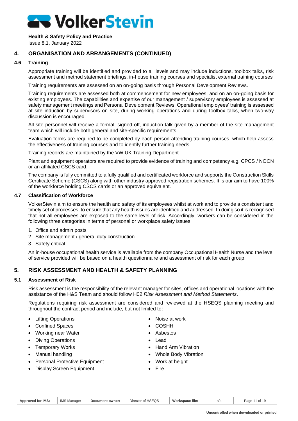#### **Health & Safety Policy and Practice**

Issue 8.1, January 2022

# **4. ORGANISATION AND ARRANGEMENTS (CONTINUED)**

# **4.6 Training**

Appropriate training will be identified and provided to all levels and may include inductions, toolbox talks, risk assessment and method statement briefings, in-house training courses and specialist external training courses

Training requirements are assessed on an on-going basis through Personal Development Reviews.

Training requirements are assessed both at commencement for new employees, and on an on-going basis for existing employees. The capabilities and expertise of our management / supervisory employees is assessed at safety management meetings and Personal Development Reviews. Operational employees' training is assessed at site induction by supervisors on site, during working operations and during toolbox talks, when two-way discussion is encouraged.

All site personnel will receive a formal, signed off, induction talk given by a member of the site management team which will include both general and site-specific requirements.

Evaluation forms are required to be completed by each person attending training courses, which help assess the effectiveness of training courses and to identify further training needs.

Training records are maintained by the VW UK Training Department

Plant and equipment operators are required to provide evidence of training and competency e.g. CPCS / NOCN or an affiliated CSCS card.

The company is fully committed to a fully qualified and certificated workforce and supports the Construction Skills Certificate Scheme (CSCS) along with other industry approved registration schemes. It is our aim to have 100% of the workforce holding CSCS cards or an approved equivalent.

# **4.7 Classification of Workforce**

VolkerStevin aim to ensure the health and safety of its employees whilst at work and to provide a consistent and timely set of processes, to ensure that any health issues are identified and addressed. In doing so it is recognised that not all employees are exposed to the same level of risk. Accordingly, workers can be considered in the following three categories in terms of personal or workplace safety issues:

- 1. Office and admin posts
- 2. Site management / general duty construction
- 3. Safety critical

<span id="page-10-0"></span>An in-house occupational health service is available from the company Occupational Health Nurse and the level of service provided will be based on a health questionnaire and assessment of risk for each group.

# **5. RISK ASSESSMENT AND HEALTH & SAFETY PLANNING**

#### **5.1 Assessment of Risk**

Risk assessment is the responsibility of the relevant manager for sites, offices and operational locations with the assistance of the H&S Team and should follow H02 *Risk Assessment and Method Statements*.

Regulations requiring risk assessment are considered and reviewed at the HSEQS planning meeting and throughout the contract period and include, but not limited to:

- Lifting Operations
- Confined Spaces
- Working near Water
- Diving Operations
- Temporary Works
- Manual handling
- Personal Protective Equipment
- Display Screen Equipment
- Noise at work
- **COSHH**
- Asbestos
- Lead
- Hand Arm Vibration
- Whole Body Vibration
- Work at height
- **Fire**

| <b>Approved for IMS:</b> | <b>IMS</b><br>Manager | Document owner: | <b>HSEQS</b><br>Director of | Workspace file: | n/s | ∩מר<br>aue<br>u |
|--------------------------|-----------------------|-----------------|-----------------------------|-----------------|-----|-----------------|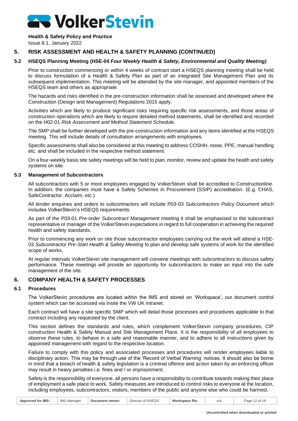#### **Health & Safety Policy and Practice**

Issue 8.1, January 2022

# **5. RISK ASSESSMENT AND HEALTH & SAFETY PLANNING (CONTINUED)**

# **5.2 HSEQS Planning Meeting (HSE-04** *Four Weekly Health & Safety, Environmental and Quality Meeting)*

Prior to construction commencing or within 4 weeks of contract start a HSEQS planning meeting shall be held to discuss formulation of a Health & Safety Plan as part of an integrated Site Management Plan and its subsequent implementation. This meeting will be attended by the site manager, and appointed members of the HSEQS team and others as appropriate.

The hazards and risks identified in the pre-construction information shall be assessed and developed where the Construction (Design and Management) Regulations 2015 apply.

Activities which are likely to produce significant risks requiring specific risk assessments, and those areas of construction operations which are likely to require detailed method statements, shall be identified and recorded on the H02-01 *Risk Assessment and Method Statement Schedule*.

The SMP shall be further developed with the pre-construction information and any items identified at the HSEQS meeting. This will include details of consultation arrangements with employees.

Specific assessments shall also be considered at this meeting to address COSHH, noise, PPE, manual handling etc. and shall be included in the respective method statement.

On a four-weekly basis site safety meetings will be held to plan, monitor, review and update the health and safety systems on site.

#### **5.3 Management of Subcontractors**

All subcontractors with 5 or more employees engaged by VolkerStevin shall be accredited to Constructionline. In addition, the companies must have a Safety Schemes in Procurement (SSIP) accreditation. (E.g. CHAS, SafeContractor, Acclaim, etc.)

All tender enquiries and orders to subcontractors will include P03-03 *Subcontractors Policy Document* which includes VolkerStevin's HSEQS requirements.

As part of the P03-01 *Pre-order Subcontract Management* meeting it shall be emphasised to the subcontract representative or manager of the VolkerStevin expectations in regard to full cooperation in achieving the required health and safety standards.

Prior to commencing any work on site those subcontractor employees carrying out the work will attend a HSE-03 *Subcontractor Pre-Start Health & Safety Meeting* to plan and develop safe systems of work for the identified scope of works.

At regular intervals VolkerStevin site management will convene meetings with subcontractors to discuss safety performance. These meetings will provide an opportunity for subcontractors to make an input into the safe management of the site.

# <span id="page-11-0"></span>**6. COMPANY HEALTH & SAFETY PROCESSES**

#### **6.1 Procedures**

The VolkerStevin procedures are located within the IMS and stored on 'Workspace', our document control system which can be accessed via Insite the VW UK intranet.

Each contract will have a site specific SMP which will detail those processes and procedures applicable to that contract including any requested by the client.

This section defines the standards and rules, which complement VolkerStevin company procedures, CIP construction Health & Safety Manual and Site Management Plans. It is the responsibility of all employees to observe these rules, to behave in a safe and reasonable manner, and to adhere to all instructions given by appointed management with regard to the respective location.

Failure to comply with this policy and associated processes and procedures will render employees liable to disciplinary action. This may be through use of the 'Record of Verbal Warning' notices. It should also be borne in mind that a breach of health & safety legislation is a criminal offence and action taken by an enforcing officer may result in heavy penalties i.e. fines and / or imprisonment.

Safety is the responsibility of everyone, all persons have a responsibility to contribute towards making their place of employment a safe place to work. Safety measures are introduced to control risks to everyone at the location, including employees, subcontractors, visitors, members of the public and anyone else who could be harmed.

| Approved for IMS: | IMS.<br>Manager | Document owner: | Director of HSEQS | Workspace file: | n/a | 12 of 19<br>Page |
|-------------------|-----------------|-----------------|-------------------|-----------------|-----|------------------|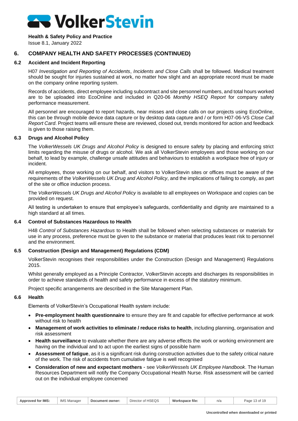

Issue 8.1, January 2022

# **6. COMPANY HEALTH AND SAFETY PROCESSES (CONTINUED)**

#### **6.2 Accident and Incident Reporting**

H07 *Investigation and Reporting of Accidents*, *Incidents and Close Calls* shall be followed. Medical treatment should be sought for injuries sustained at work, no matter how slight and an appropriate record must be made on the company online reporting system.

Records of accidents, direct employee including subcontract and site personnel numbers, and total hours worked are to be uploaded into EcoOnline and included in Q20-06 *Monthly HSEQ Report* for company safety performance measurement.

All personnel are encouraged to report hazards, near misses and close calls on our projects using EcoOnline, this can be through mobile device data capture or by desktop data capture and / or form H07-06-VS *Close Call Report Card*. Project teams will ensure these are reviewed, closed out, trends monitored for action and feedback is given to those raising them.

#### **6.3 Drugs and Alcohol Policy**

The *VolkerWessels UK Drugs and Alcohol Policy* is designed to ensure safety by placing and enforcing strict limits regarding the misuse of drugs or alcohol. We ask all VolkerStevin employees and those working on our behalf, to lead by example, challenge unsafe attitudes and behaviours to establish a workplace free of injury or incident.

All employees, those working on our behalf, and visitors to VolkerStevin sites or offices must be aware of the requirements of the *VolkerWessels UK Drug and Alcohol Policy*, and the implications of failing to comply, as part of the site or office induction process.

The *VolkerWessels UK Drugs and Alcohol Policy* is available to all employees on Workspace and copies can be provided on request.

All testing is undertaken to ensure that employee's safeguards, confidentiality and dignity are maintained to a high standard at all times.

#### **6.4 Control of Substances Hazardous to Health**

H48 *Control of Substances Hazardous* to Health shall be followed when selecting substances or materials for use in any process, preference must be given to the substance or material that produces least risk to personnel and the environment.

# **6.5 Construction (Design and Management) Regulations (CDM)**

VolkerStevin recognises their responsibilities under the Construction (Design and Management) Regulations 2015.

Whilst generally employed as a Principle Contractor, VolkerStevin accepts and discharges its responsibilities in order to achieve standards of health and safety performance in excess of the statutory minimum.

Project specific arrangements are described in the Site Management Plan.

#### **6.6 Health**

Elements of VolkerStevin's Occupational Health system include:

- **Pre-employment health questionnaire** to ensure they are fit and capable for effective performance at work without risk to health
- **Management of work activities to eliminate / reduce risks to health**, including planning, organisation and risk assessment
- **Health surveillance** to evaluate whether there are any adverse effects the work or working environment are having on the individual and to act upon the earliest signs of possible harm
- **Assessment of fatigue**, as it is a significant risk during construction activities due to the safety critical nature of the work. The risk of accidents from cumulative fatigue is well recognised
- **Consideration of new and expectant mothers** see *VolkerWessels UK Employee Handbook*. The Human Resources Department will notify the Company Occupational Health Nurse. Risk assessment will be carried out on the individual employee concerned

| <b>Approved for IMS:</b> | IMS N<br>Manager | Document owner: | Director of HSEQS | Workspace file: | nic | 13 of 19<br>Page |
|--------------------------|------------------|-----------------|-------------------|-----------------|-----|------------------|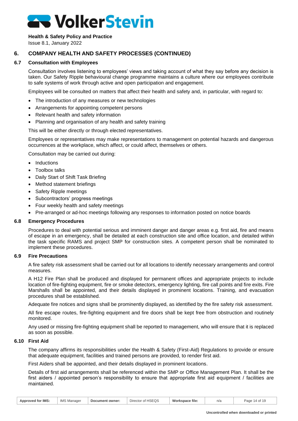#### **Health & Safety Policy and Practice**

Issue 8.1, January 2022

# **6. COMPANY HEALTH AND SAFETY PROCESSES (CONTINUED)**

# **6.7 Consultation with Employees**

Consultation involves listening to employees' views and taking account of what they say before any decision is taken. Our Safety Ripple behavioural change programme maintains a culture where our employees contribute to safe systems of work through active and open participation and engagement.

Employees will be consulted on matters that affect their health and safety and, in particular, with regard to:

- The introduction of any measures or new technologies
- Arrangements for appointing competent persons
- Relevant health and safety information
- Planning and organisation of any health and safety training

This will be either directly or through elected representatives.

Employees or representatives may make representations to management on potential hazards and dangerous occurrences at the workplace, which affect, or could affect, themselves or others.

Consultation may be carried out during:

- **Inductions**
- Toolbox talks
- Daily Start of Shift Task Briefing
- Method statement briefings
- Safety Ripple meetings
- Subcontractors' progress meetings
- Four weekly health and safety meetings
- Pre-arranged or ad-hoc meetings following any responses to information posted on notice boards

# **6.8 Emergency Procedures**

Procedures to deal with potential serious and imminent danger and danger areas e.g. first aid, fire and means of escape in an emergency, shall be detailed at each construction site and office location, and detailed within the task specific RAMS and project SMP for construction sites. A competent person shall be nominated to implement these procedures.

#### **6.9 Fire Precautions**

A fire safety risk assessment shall be carried out for all locations to identify necessary arrangements and control measures.

A H12 Fire Plan shall be produced and displayed for permanent offices and appropriate projects to include location of fire-fighting equipment, fire or smoke detectors, emergency lighting, fire call points and fire exits. Fire Marshalls shall be appointed, and their details displayed in prominent locations. Training, and evacuation procedures shall be established.

Adequate fire notices and signs shall be prominently displayed, as identified by the fire safety risk assessment.

All fire escape routes, fire-fighting equipment and fire doors shall be kept free from obstruction and routinely monitored.

Any used or missing fire-fighting equipment shall be reported to management, who will ensure that it is replaced as soon as possible.

#### **6.10 First Aid**

The company affirms its responsibilities under the Health & Safety (First-Aid) Regulations to provide or ensure that adequate equipment, facilities and trained persons are provided, to render first aid.

First Aiders shall be appointed, and their details displayed in prominent locations.

Details of first aid arrangements shall be referenced within the SMP or Office Management Plan. It shall be the first aiders / appointed person's responsibility to ensure that appropriate first aid equipment / facilities are maintained.

| Approved for IMS: | <b>IMS</b><br>Manager | Document owner: | of HSEQS<br>Director | Workspace file: | $n/\epsilon$ | Page<br>$\sim$<br>74<br>$\mathbf{u}$ |
|-------------------|-----------------------|-----------------|----------------------|-----------------|--------------|--------------------------------------|
|                   |                       |                 |                      |                 |              |                                      |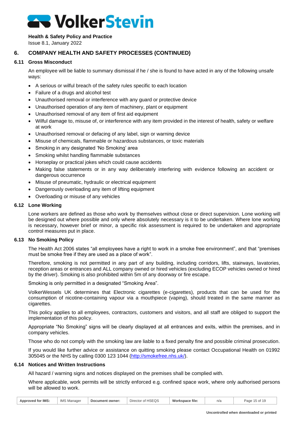

Issue 8.1, January 2022

# **6. COMPANY HEALTH AND SAFETY PROCESSES (CONTINUED)**

#### **6.11 Gross Misconduct**

An employee will be liable to summary dismissal if he / she is found to have acted in any of the following unsafe ways:

- A serious or wilful breach of the safety rules specific to each location
- Failure of a drugs and alcohol test
- Unauthorised removal or interference with any guard or protective device
- Unauthorised operation of any item of machinery, plant or equipment
- Unauthorised removal of any item of first aid equipment
- Wilful damage to, misuse of, or interference with any item provided in the interest of health, safety or welfare at work
- Unauthorised removal or defacing of any label, sign or warning device
- Misuse of chemicals, flammable or hazardous substances, or toxic materials
- Smoking in any designated 'No Smoking' area
- Smoking whilst handling flammable substances
- Horseplay or practical jokes which could cause accidents
- Making false statements or in any way deliberately interfering with evidence following an accident or dangerous occurrence
- Misuse of pneumatic, hydraulic or electrical equipment
- Dangerously overloading any item of lifting equipment
- Overloading or misuse of any vehicles

#### **6.12 Lone Working**

Lone workers are defined as those who work by themselves without close or direct supervision. Lone working will be designed out where possible and only where absolutely necessary is it to be undertaken. Where lone working is necessary, however brief or minor, a specific risk assessment is required to be undertaken and appropriate control measures put in place.

#### **6.13 No Smoking Policy**

The Health Act 2006 states "all employees have a right to work in a smoke free environment", and that "premises must be smoke free if they are used as a place of work".

Therefore, smoking is not permitted in any part of any building, including corridors, lifts, stairways, lavatories, reception areas or entrances and ALL company owned or hired vehicles (excluding ECOP vehicles owned or hired by the driver). Smoking is also prohibited within 5m of any doorway or fire escape.

Smoking is only permitted in a designated "Smoking Area".

VolkerWessels UK determines that Electronic cigarettes (e-cigarettes), products that can be used for the consumption of nicotine-containing vapour via a mouthpiece (vaping), should treated in the same manner as cigarettes.

This policy applies to all employees, contractors, customers and visitors, and all staff are obliged to support the implementation of this policy.

Appropriate "No Smoking" signs will be clearly displayed at all entrances and exits, within the premises, and in company vehicles.

Those who do not comply with the smoking law are liable to a fixed penalty fine and possible criminal prosecution.

If you would like further advice or assistance on quitting smoking please contact Occupational Health on 01992 305045 or the NHS by calling 0300 123 1044 [\(http://smokefree.nhs.uk/\)](http://smokefree.nhs.uk/).

#### **6.14 Notices and Written Instructions**

All hazard / warning signs and notices displayed on the premises shall be complied with.

Where applicable, work permits will be strictly enforced e.g. confined space work, where only authorised persons will be allowed to work.

| Approved for IMS: | <b>IMS</b><br>Manager | Document owner: | Director of HSEQS | Workspace file: | n/a | Page<br>$\sim$<br>$\cup$ |
|-------------------|-----------------------|-----------------|-------------------|-----------------|-----|--------------------------|
|                   |                       |                 |                   |                 |     |                          |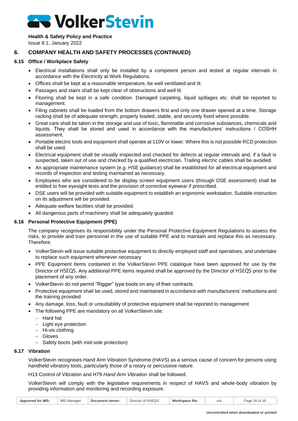#### **Health & Safety Policy and Practice**

Issue 8.1, January 2022

# **6. COMPANY HEALTH AND SAFETY PROCESSES (CONTINUED)**

# **6.15 Office / Workplace Safety**

- Electrical installations shall only be installed by a competent person and tested at regular intervals in accordance with the Electricity at Work Regulations.
- Offices shall be kept at a reasonable temperature, be well ventilated and lit.
- Passages and stairs shall be kept clear of obstructions and well lit.
- Flooring shall be kept in a safe condition. Damaged carpeting, liquid spillages etc. shall be reported to management.
- Filing cabinets shall be loaded from the bottom drawers first and only one drawer opened at a time. Storage racking shall be of adequate strength, properly loaded, stable, and securely fixed where possible.
- Great care shall be taken in the storage and use of toxic, flammable and corrosive substances, chemicals and liquids. They shall be stored and used in accordance with the manufacturers' instructions / COSHH assessment.
- Portable electric tools and equipment shall operate at 110V or lower. Where this is not possible RCD protection shall be used.
- Electrical equipment shall be visually inspected and checked for defects at regular intervals and, if a fault is suspected, taken out of use and checked by a qualified electrician. Trailing electric cables shall be avoided.
- An appropriate maintenance system (e.g. HSE guidance) shall be established for all electrical equipment and records of inspection and testing maintained as necessary.
- Employees who are considered to be display screen equipment users (through DSE assessment) shall be entitled to free eyesight tests and the provision of corrective eyewear if prescribed.
- DSE users will be provided with suitable equipment to establish an ergonomic workstation. Suitable instruction on its adjustment will be provided.
- Adequate welfare facilities shall be provided.
- All dangerous parts of machinery shall be adequately guarded.

# **6.16 Personal Protective Equipment (PPE)**

The company recognises its responsibility under the Personal Protective Equipment Regulations to assess the risks, to provide and train personnel in the use of suitable PPE and to maintain and replace this as necessary. Therefore:

- VolkerStevin will issue suitable protective equipment to directly employed staff and operatives, and undertake to replace such equipment whenever necessary
- PPE Equipment Items contained in the VolkerStevin PPE catalogue have been approved for use by the Director of HSEQS. Any additional PPE items required shall be approved by the Director of HSEQS prior to the placement of any order.
- VolkerStevin do not permit "Rigger" type boots on any of their contracts.
- Protective equipment shall be used, stored and maintained in accordance with manufacturers' instructions and the training provided
- Any damage, loss, fault or unsuitability of protective equipment shall be reported to management
- The following PPE are mandatory on all VolkerStevin site:
	- − Hard hat
	- − Light eye protection
	- − Hi-vis clothing
	- − Gloves
	- Safety boots (with mid-sole protection)

# **6.17 Vibration**

VolkerStevin recognises Hand Arm Vibration Syndrome (HAVS) as a serious cause of concern for persons using handheld vibratory tools, particularly those of a rotary or percussive nature.

H13 Control of Vibration and H79 *Hand Arm Vibration* shall be followed.

VolkerStevin will comply with the legislative requirements in respect of HAVS and whole-body vibration by providing information and monitoring and recording exposure.

| <b>Approved for IMS:</b> | <b>IMS</b><br>Manager | Document owner: | Director of HSEQS | Workspace file: | n/a | Page<br>16 ดา |
|--------------------------|-----------------------|-----------------|-------------------|-----------------|-----|---------------|
|--------------------------|-----------------------|-----------------|-------------------|-----------------|-----|---------------|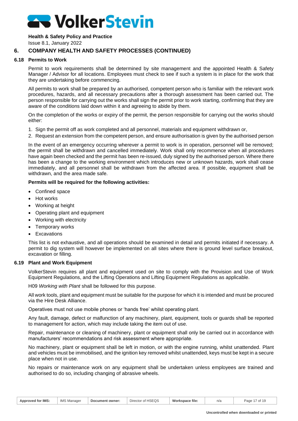#### **Health & Safety Policy and Practice**

Issue 8.1, January 2022

# **6. COMPANY HEALTH AND SAFETY PROCESSES (CONTINUED)**

#### **6.18 Permits to Work**

Permit to work requirements shall be determined by site management and the appointed Health & Safety Manager / Advisor for all locations. Employees must check to see if such a system is in place for the work that they are undertaking before commencing.

All permits to work shall be prepared by an authorised, competent person who is familiar with the relevant work procedures, hazards, and all necessary precautions after a thorough assessment has been carried out. The person responsible for carrying out the works shall sign the permit prior to work starting, confirming that they are aware of the conditions laid down within it and agreeing to abide by them.

On the completion of the works or expiry of the permit, the person responsible for carrying out the works should either:

- 1. Sign the permit off as work completed and all personnel, materials and equipment withdrawn or,
- 2. Request an extension from the competent person, and ensure authorisation is given by the authorised person

In the event of an emergency occurring wherever a permit to work is in operation, personnel will be removed; the permit shall be withdrawn and cancelled immediately. Work shall only recommence when all procedures have again been checked and the permit has been re-issued, duly signed by the authorised person. Where there has been a change to the working environment which introduces new or unknown hazards, work shall cease immediately, and all personnel shall be withdrawn from the affected area. If possible, equipment shall be withdrawn, and the area made safe.

# **Permits will be required for the following activities:**

- Confined space
- Hot works
- Working at height
- Operating plant and equipment
- Working with electricity
- Temporary works
- Excavations

This list is not exhaustive, and all operations should be examined in detail and permits initiated if necessary. A permit to dig system will however be implemented on all sites where there is ground level surface breakout, excavation or filling.

#### **6.19 Plant and Work Equipment**

VolkerStevin requires all plant and equipment used on site to comply with the Provision and Use of Work Equipment Regulations, and the Lifting Operations and Lifting Equipment Regulations as applicable.

H09 *Working with Plant* shall be followed for this purpose.

All work tools, plant and equipment must be suitable for the purpose for which it is intended and must be procured via the Hire Desk Alliance.

Operatives must not use mobile phones or 'hands free' whilst operating plant.

Any fault, damage, defect or malfunction of any machinery, plant, equipment, tools or guards shall be reported to management for action, which may include taking the item out of use.

Repair, maintenance or cleaning of machinery, plant or equipment shall only be carried out in accordance with manufacturers' recommendations and risk assessment where appropriate.

No machinery, plant or equipment shall be left in motion, or with the engine running, whilst unattended. Plant and vehicles must be immobilised, and the ignition key removed whilst unattended, keys must be kept in a secure place when not in use.

No repairs or maintenance work on any equipment shall be undertaken unless employees are trained and authorised to do so, including changing of abrasive wheels.

| for IMS<br>Approved | <b>IMS</b><br>Manager | Document owner: | JCEOC<br>$\sim$ $\sim$ $\sim$ $\sim$ $\sim$ $\sim$ $\sim$<br>Director<br><b>HOLWU</b><br>ωı | Workspace file: | n/s | D <sub>0</sub><br>0t<br>auc |
|---------------------|-----------------------|-----------------|---------------------------------------------------------------------------------------------|-----------------|-----|-----------------------------|
|                     |                       |                 |                                                                                             |                 |     |                             |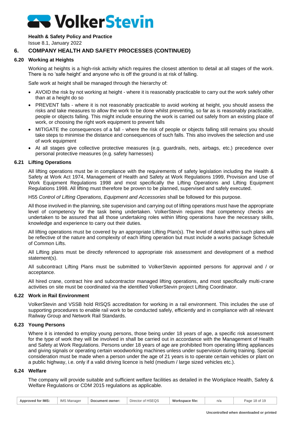**Health & Safety Policy and Practice**

Issue 8.1, January 2022

# **6. COMPANY HEALTH AND SAFETY PROCESSES (CONTINUED)**

# **6.20 Working at Heights**

Working at heights is a high-risk activity which requires the closest attention to detail at all stages of the work. There is no 'safe height' and anyone who is off the ground is at risk of falling.

Safe work at height shall be managed through the hierarchy of:

- AVOID the risk by not working at height where it is reasonably practicable to carry out the work safely other than at a height do so
- PREVENT falls where it is not reasonably practicable to avoid working at height, you should assess the risks and take measures to allow the work to be done whilst preventing, so far as is reasonably practicable, people or objects falling. This might include ensuring the work is carried out safely from an existing place of work, or choosing the right work equipment to prevent falls
- MITIGATE the consequences of a fall where the risk of people or objects falling still remains you should take steps to minimise the distance and consequences of such falls. This also involves the selection and use of work equipment
- At all stages give collective protective measures (e.g. guardrails, nets, airbags, etc.) precedence over personal protective measures (e.g. safety harnesses)

# **6.21 Lifting Operations**

All lifting operations must be in compliance with the requirements of safety legislation including the Health & Safety at Work Act 1974, Management of Health and Safety at Work Regulations 1999, Provision and Use of Work Equipment Regulations 1998 and most specifically the Lifting Operations and Lifting Equipment Regulations 1998. All lifting must therefore be proven to be planned, supervised and safely executed.

H55 *Control of Lifting Operations, Equipment and Accessories* shall be followed for this purpose.

All those involved in the planning, site supervision and carrying out of lifting operations must have the appropriate level of competency for the task being undertaken. VolkerStevin requires that competency checks are undertaken to be assured that all those undertaking roles within lifting operations have the necessary skills, knowledge and experience to carry out their duties.

All lifting operations must be covered by an appropriate Lifting Plan(s). The level of detail within such plans will be reflective of the nature and complexity of each lifting operation but must include a works package Schedule of Common Lifts.

All Lifting plans must be directly referenced to appropriate risk assessment and development of a method statement(s).

All subcontract Lifting Plans must be submitted to VolkerStevin appointed persons for approval and / or acceptance.

All hired crane, contract hire and subcontractor managed lifting operations, and most specifically multi-crane activities on site must be coordinated via the identified VolkerStevin project Lifting Coordinator.

# **6.22 Work in Rail Environment**

VolkerStevin and VSSB hold RISQS accreditation for working in a rail environment. This includes the use of supporting procedures to enable rail work to be conducted safely, efficiently and in compliance with all relevant Railway Group and Network Rail Standards.

# **6.23 Young Persons**

Where it is intended to employ young persons, those being under 18 years of age, a specific risk assessment for the type of work they will be involved in shall be carried out in accordance with the Management of Health and Safety at Work Regulations. Persons under 18 years of age are prohibited from operating lifting appliances and giving signals or operating certain woodworking machines unless under supervision during training. Special consideration must be made when a person under the age of 21 years is to operate certain vehicles or plant on a public highway, i.e. only if a valid driving licence is held (medium / large sized vehicles etc.).

# **6.24 Welfare**

The company will provide suitable and sufficient welfare facilities as detailed in the Workplace Health, Safety & Welfare Regulations or CDM 2015 regulations as applicable.

| Manager<br>Document owner:<br>n/s | Approved for IMS: | <b>IMS</b> |  | Director of HSEQS | Workspace file: |  | Page 18 of 19 |
|-----------------------------------|-------------------|------------|--|-------------------|-----------------|--|---------------|
|-----------------------------------|-------------------|------------|--|-------------------|-----------------|--|---------------|